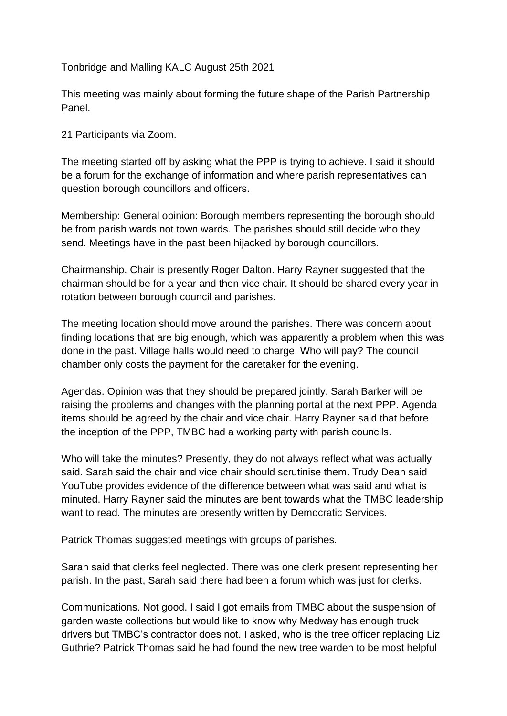Tonbridge and Malling KALC August 25th 2021

This meeting was mainly about forming the future shape of the Parish Partnership Panel.

21 Participants via Zoom.

The meeting started off by asking what the PPP is trying to achieve. I said it should be a forum for the exchange of information and where parish representatives can question borough councillors and officers.

Membership: General opinion: Borough members representing the borough should be from parish wards not town wards. The parishes should still decide who they send. Meetings have in the past been hijacked by borough councillors.

Chairmanship. Chair is presently Roger Dalton. Harry Rayner suggested that the chairman should be for a year and then vice chair. It should be shared every year in rotation between borough council and parishes.

The meeting location should move around the parishes. There was concern about finding locations that are big enough, which was apparently a problem when this was done in the past. Village halls would need to charge. Who will pay? The council chamber only costs the payment for the caretaker for the evening.

Agendas. Opinion was that they should be prepared jointly. Sarah Barker will be raising the problems and changes with the planning portal at the next PPP. Agenda items should be agreed by the chair and vice chair. Harry Rayner said that before the inception of the PPP, TMBC had a working party with parish councils.

Who will take the minutes? Presently, they do not always reflect what was actually said. Sarah said the chair and vice chair should scrutinise them. Trudy Dean said YouTube provides evidence of the difference between what was said and what is minuted. Harry Rayner said the minutes are bent towards what the TMBC leadership want to read. The minutes are presently written by Democratic Services.

Patrick Thomas suggested meetings with groups of parishes.

Sarah said that clerks feel neglected. There was one clerk present representing her parish. In the past, Sarah said there had been a forum which was just for clerks.

Communications. Not good. I said I got emails from TMBC about the suspension of garden waste collections but would like to know why Medway has enough truck drivers but TMBC's contractor does not. I asked, who is the tree officer replacing Liz Guthrie? Patrick Thomas said he had found the new tree warden to be most helpful